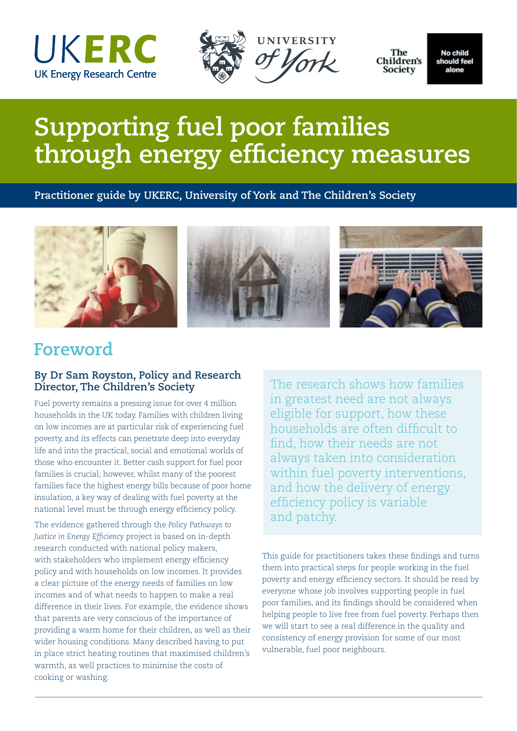





The Children's Society

No child should feel alone

# **Supporting fuel poor families through energy efficiency measures**

**Practitioner guide by UKERC, University of York and The Children's Society**



## **Foreword**

#### **By Dr Sam Royston, Policy and Research Director, The Children's Society**

Fuel poverty remains a pressing issue for over 4 million households in the UK today. Families with children living on low incomes are at particular risk of experiencing fuel poverty, and its effects can penetrate deep into everyday life and into the practical, social and emotional worlds of those who encounter it. Better cash support for fuel poor families is crucial; however, whilst many of the poorest families face the highest energy bills because of poor home insulation, a key way of dealing with fuel poverty at the national level must be through energy efficiency policy.

The evidence gathered through the *Policy Pathways to Justice in Energy Efficiency* project is based on in-depth research conducted with national policy makers, with stakeholders who implement energy efficiency policy and with households on low incomes. It provides a clear picture of the energy needs of families on low incomes and of what needs to happen to make a real difference in their lives. For example, the evidence shows that parents are very conscious of the importance of providing a warm home for their children, as well as their wider housing conditions. Many described having to put in place strict heating routines that maximised children's warmth, as well practices to minimise the costs of cooking or washing.

The research shows how families in greatest need are not always eligible for support, how these households are often difficult to find, how their needs are not always taken into consideration within fuel poverty interventions, and how the delivery of energy efficiency policy is variable and patchy.

This guide for practitioners takes these findings and turns them into practical steps for people working in the fuel poverty and energy efficiency sectors. It should be read by everyone whose job involves supporting people in fuel poor families, and its findings should be considered when helping people to live free from fuel poverty. Perhaps then we will start to see a real difference in the quality and consistency of energy provision for some of our most vulnerable, fuel poor neighbours.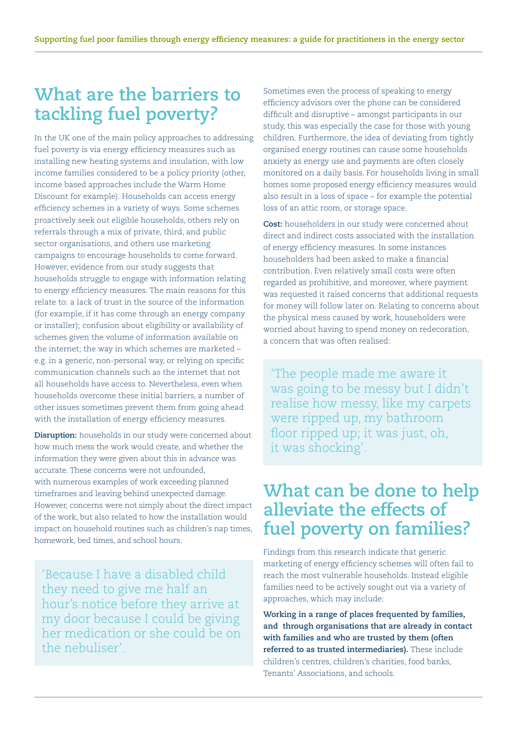## **What are the barriers to tackling fuel poverty?**

In the UK one of the main policy approaches to addressing fuel poverty is via energy efficiency measures such as installing new heating systems and insulation, with low income families considered to be a policy priority (other, income based approaches include the Warm Home Discount for example). Households can access energy efficiency schemes in a variety of ways. Some schemes proactively seek out eligible households, others rely on referrals through a mix of private, third, and public sector organisations, and others use marketing campaigns to encourage households to come forward. However, evidence from our study suggests that households struggle to engage with information relating to energy efficiency measures. The main reasons for this relate to: a lack of trust in the source of the information (for example, if it has come through an energy company or installer); confusion about eligibility or availability of schemes given the volume of information available on the internet; the way in which schemes are marketed – e.g. in a generic, non-personal way, or relying on specific communication channels such as the internet that not all households have access to. Nevertheless, even when households overcome these initial barriers, a number of other issues sometimes prevent them from going ahead with the installation of energy efficiency measures.

**Disruption:** households in our study were concerned about how much mess the work would create, and whether the information they were given about this in advance was accurate. These concerns were not unfounded, with numerous examples of work exceeding planned timeframes and leaving behind unexpected damage. However, concerns were not simply about the direct impact of the work, but also related to how the installation would impact on household routines such as children's nap times, homework, bed times, and school hours:

'Because I have a disabled child they need to give me half an hour's notice before they arrive at my door because I could be giving her medication or she could be on the nebuliser'.

Sometimes even the process of speaking to energy efficiency advisors over the phone can be considered difficult and disruptive – amongst participants in our study, this was especially the case for those with young children. Furthermore, the idea of deviating from tightly organised energy routines can cause some households anxiety as energy use and payments are often closely monitored on a daily basis. For households living in small homes some proposed energy efficiency measures would also result in a loss of space – for example the potential loss of an attic room, or storage space.

**Cost:** householders in our study were concerned about direct and indirect costs associated with the installation of energy efficiency measures. In some instances householders had been asked to make a financial contribution. Even relatively small costs were often regarded as prohibitive, and moreover, where payment was requested it raised concerns that additional requests for money will follow later on. Relating to concerns about the physical mess caused by work, householders were worried about having to spend money on redecoration, a concern that was often realised:

'The people made me aware it was going to be messy but I didn't realise how messy, like my carpets were ripped up, my bathroom floor ripped up; it was just, oh, it was shocking'.

#### **What can be done to help alleviate the effects of fuel poverty on families?**

Findings from this research indicate that generic marketing of energy efficiency schemes will often fail to reach the most vulnerable households. Instead eligible families need to be actively sought out via a variety of approaches, which may include:

**Working in a range of places frequented by families, and through organisations that are already in contact with families and who are trusted by them (often referred to as trusted intermediaries).** These include children's centres, children's charities, food banks, Tenants' Associations, and schools.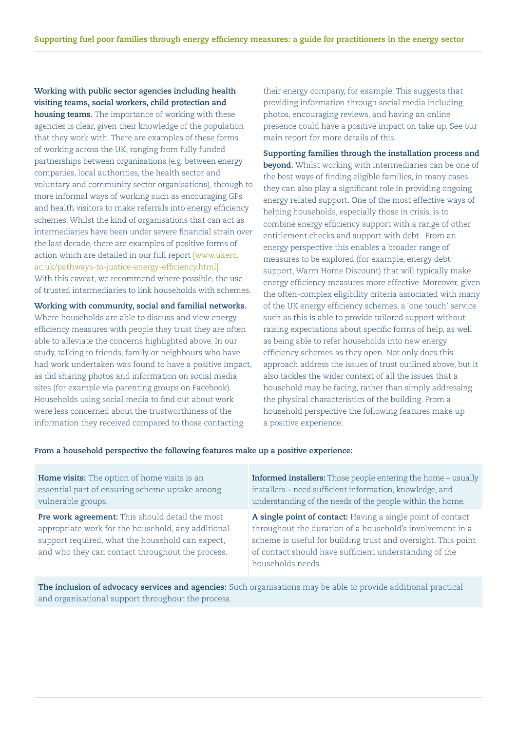**Working with public sector agencies including health visiting teams, social workers, child protection and housing teams.** The importance of working with these agencies is clear, given their knowledge of the population that they work with. There are examples of these forms of working across the UK, ranging from fully funded partnerships between organisations (e.g. between energy companies, local authorities, the health sector and voluntary and community sector organisations), through to more informal ways of working such as encouraging GPs and health visitors to make referrals into energy efficiency schemes. Whilst the kind of organisations that can act as intermediaries have been under severe financial strain over the last decade, there are examples of positive forms of action which are detailed in our full report [www.ukerc. ac.uk/pathways-to-justice-energy-efficiency.html]. With this caveat, we recommend where possible, the use of trusted intermediaries to link households with schemes.

**Working with community, social and familial networks.**  Where households are able to discuss and view energy efficiency measures with people they trust they are often able to alleviate the concerns highlighted above. In our study, talking to friends, family or neighbours who have had work undertaken was found to have a positive impact, as did sharing photos and information on social media sites (for example via parenting groups on Facebook). Households using social media to find out about work were less concerned about the trustworthiness of the information they received compared to those contacting

their energy company, for example. This suggests that providing information through social media including photos, encouraging reviews, and having an online presence could have a positive impact on take up. See our main report for more details of this.

**Supporting families through the installation process and beyond.** Whilst working with intermediaries can be one of the best ways of finding eligible families, in many cases they can also play a significant role in providing ongoing energy related support. One of the most effective ways of helping households, especially those in crisis, is to combine energy efficiency support with a range of other entitlement checks and support with debt. From an energy perspective this enables a broader range of measures to be explored (for example, energy debt support, Warm Home Discount) that will typically make energy efficiency measures more effective. Moreover, given the often-complex eligibility criteria associated with many of the UK energy efficiency schemes, a 'one touch' service such as this is able to provide tailored support without raising expectations about specific forms of help, as well as being able to refer households into new energy efficiency schemes as they open. Not only does this approach address the issues of trust outlined above, but it also tackles the wider context of all the issues that a household may be facing, rather than simply addressing the physical characteristics of the building. From a household perspective the following features make up a positive experience:

#### **From a household perspective the following features make up a positive experience:**

| Home visits: The option of home visits is an                                                                                                                                                                  | <b>Informed installers:</b> Those people entering the home – usually                                                                                                                                                                                                     |
|---------------------------------------------------------------------------------------------------------------------------------------------------------------------------------------------------------------|--------------------------------------------------------------------------------------------------------------------------------------------------------------------------------------------------------------------------------------------------------------------------|
| essential part of ensuring scheme uptake among                                                                                                                                                                | installers - need sufficient information, knowledge, and                                                                                                                                                                                                                 |
| vulnerable groups.                                                                                                                                                                                            | understanding of the needs of the people within the home.                                                                                                                                                                                                                |
| Pre work agreement: This should detail the most<br>appropriate work for the household, any additional<br>support required, what the household can expect,<br>and who they can contact throughout the process. | A single point of contact: Having a single point of contact<br>throughout the duration of a household's involvement in a<br>scheme is useful for building trust and oversight. This point<br>of contact should have sufficient understanding of the<br>households needs. |

**The inclusion of advocacy services and agencies:** Such organisations may be able to provide additional practical and organisational support throughout the process.